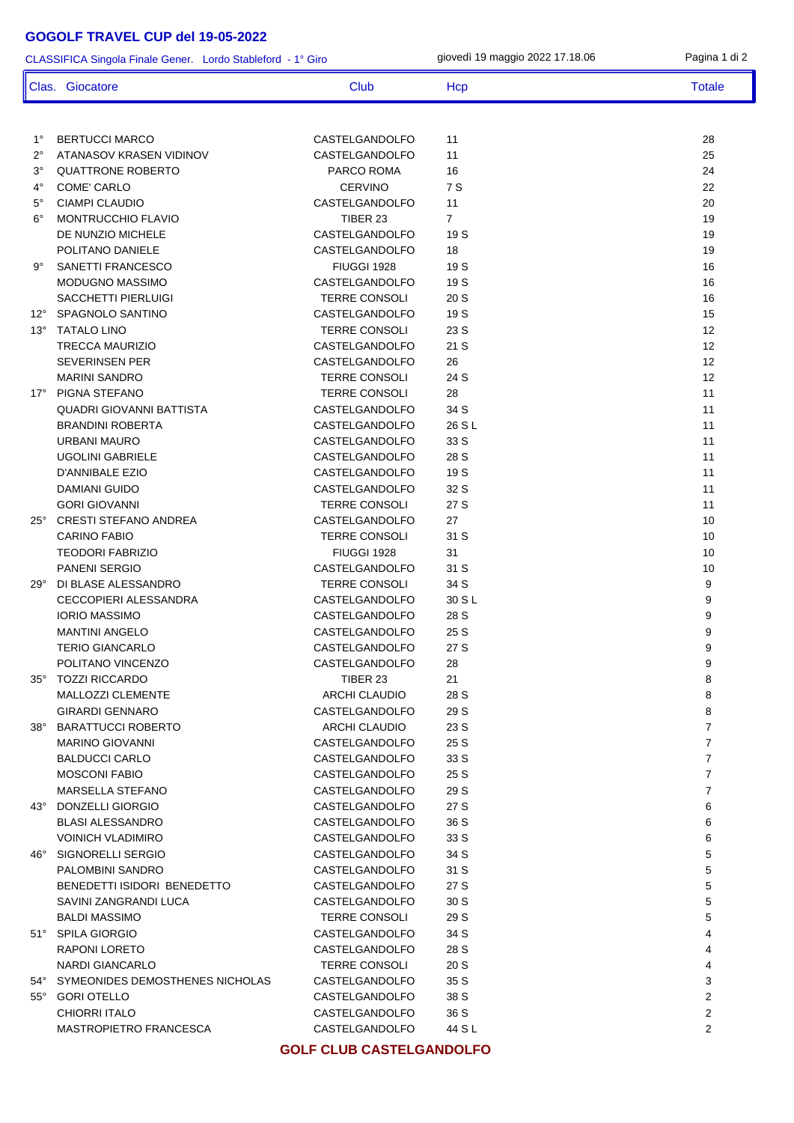## **GOGOLF TRAVEL CUP del 19-05-2022**

1° BERTUCCI MARCO CASTELGANDOLFO 11 28 2° ATANASOV KRASEN VIDINOV CASTELGANDOLFO 11 25 3° QUATTRONE ROBERTO PARCO ROMA 16 24 4° COME' CARLO CERVINO 7 S 22 5° CIAMPI CLAUDIO CASTELGANDOLFO 11 20 6° MONTRUCCHIO FLAVIO TIBER 23 7 19 DE NUNZIO MICHELE **CASTELGANDOLFO** 19 S 19 POLITANO DANIELE **CASTELGANDOLFO** 18 19 9° SANETTI FRANCESCO FIUGGI 1928 19 S 16 MODUGNO MASSIMO CASTELGANDOLFO 19 S 16 SACCHETTI PIERLUIGI TERRE CONSOLI 20 S 16 12° SPAGNOLO SANTINO CASTELGANDOLFO 19 S 15 13° TATALO LINO TERRE CONSOLI 23 S 12 TRECCA MAURIZIO CASTELGANDOLFO 21 S 12 SEVERINSEN PER CASTELGANDOLFO 26 12 MARINI SANDRO TERRE CONSOLI 24 S 12 17º PIGNA STEFANO **TERRE CONSOLI** 28 28 11 QUADRI GIOVANNI BATTISTA CASTELGANDOLFO 34 S 11 BRANDINI ROBERTA CASTELGANDOLFO 26 S L URBANI MAURO CASTELGANDOLFO 33 S 11 UGOLINI GABRIELE CASTELGANDOLFO 28 S 11 D'ANNIBALE EZIO CASTELGANDOLFO 19 S 11 DAMIANI GUIDO CASTELGANDOLFO 32 S 11 GORI GIOVANNI TERRE CONSOLI 27 S 11 25° CRESTI STEFANO ANDREA CASTELGANDOLFO 27 10 CARINO FABIO **TERRE CONSOLI** 31 S 10 TEODORI FABRIZIO 10 TRUGGI 1928 31 10 TRUGGI 1928 31 10 PANENI SERGIO CASTELGANDOLFO 31 S 10 29° DI BLASE ALESSANDRO TERRE CONSOLI 34 S 9 CECCOPIERI ALESSANDRA CASTELGANDOLFO 30 S L 9 IORIO MASSIMO CASTELGANDOLFO 28 S 9 MANTINI ANGELO CASTELGANDOLFO 25 S 9 TERIO GIANCARLO CASTELGANDOLFO 27 S 9 POLITANO VINCENZO CASTELGANDOLFO 28 9 35° TOZZI RICCARDO TIBER 23 21 8 MALLOZZI CLEMENTE ARCHI CLAUDIO 28 S 8 GIRARDI GENNARO CASTELGANDOLFO 29 S 8 38° BARATTUCCI ROBERTO ARCHI CLAUDIO 23 S 7 MARINO GIOVANNI CASTELGANDOLFO 25 S 7 BALDUCCI CARLO CASTELGANDOLFO 33 S 7 MOSCONI FABIO CASTELGANDOLFO 25 S 7 MARSELLA STEFANO CASTELGANDOLFO 29 S 7 43° DONZELLI GIORGIO CASTELGANDOLFO 27 S 6 BLASI ALESSANDRO CASTELGANDOLFO 36 S 6 VOINICH VLADIMIRO CASTELGANDOLFO 33 S 6 46° SIGNORELLI SERGIO CASTELGANDOLFO 34 S 5 PALOMBINI SANDRO CASTELGANDOLFO 31 S 5 BENEDETTI ISIDORI BENEDETTO CASTELGANDOLFO 27 S 5 SAVINI ZANGRANDI LUCA CASTELGANDOLFO 30 S 5 BALDI MASSIMO TERRE CONSOLI 29 S 5 51° SPILA GIORGIO CASTELGANDOLFO 34 S 4 RAPONI LORETO CASTELGANDOLFO 28 S 4 NARDI GIANCARLO TERRE CONSOLI 20 S 4 54° SYMEONIDES DEMOSTHENES NICHOLAS CASTELGANDOLFO 35 S 3 55° GORI OTELLO CASTELGANDOLFO 38 S 2 CLASSIFICA Singola Finale Gener. Lordo Stableford - 1° Giro giovedì 19 maggio 2022 17.18.06 Pagina 1 di 2 Clas. Giocatore Club Club Hcp Totale Totale

MASTROPIETRO FRANCESCA CASTELGANDOLFO 44 S L **GOLF CLUB CASTELGANDOLFO**

CHIORRI ITALO CASTELGANDOLFO 36 S 2